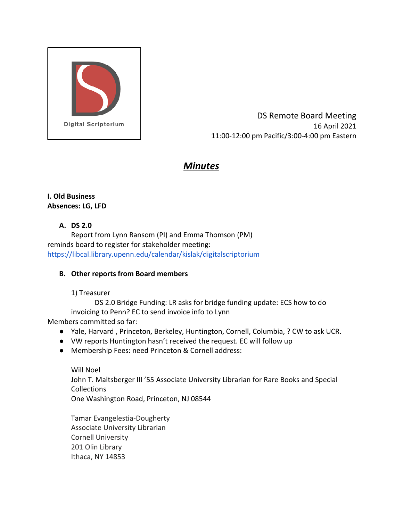

DS Remote Board Meeting 16 April 2021 11:00-12:00 pm Pacific/3:00-4:00 pm Eastern

# *Minutes*

### **I. Old Business Absences: LG, LFD**

## **A. DS 2.0**

Report from Lynn Ransom (PI) and Emma Thomson (PM) reminds board to register for stakeholder meeting: <https://libcal.library.upenn.edu/calendar/kislak/digitalscriptorium>

#### **B. Other reports from Board members**

1) Treasurer

DS 2.0 Bridge Funding: LR asks for bridge funding update: ECS how to do invoicing to Penn? EC to send invoice info to Lynn Members committed so far:

- Yale, Harvard , Princeton, Berkeley, Huntington, Cornell, Columbia, ? CW to ask UCR.
- VW reports Huntington hasn't received the request. EC will follow up
- Membership Fees: need Princeton & Cornell address:

Will Noel John T. Maltsberger III '55 Associate University Librarian for Rare Books and Special **Collections** One Washington Road, Princeton, NJ 08544

Tamar Evangelestia-Dougherty Associate University Librarian Cornell University 201 Olin Library Ithaca, NY 14853